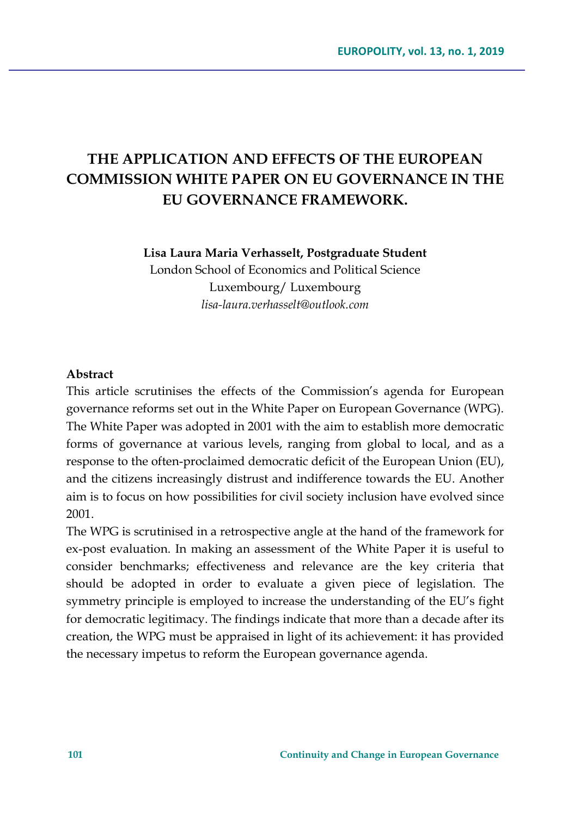# **THE APPLICATION AND EFFECTS OF THE EUROPEAN COMMISSION WHITE PAPER ON EU GOVERNANCE IN THE EU GOVERNANCE FRAMEWORK.**

**Lisa Laura Maria Verhasselt, Postgraduate Student**

London School of Economics and Political Science Luxembourg/ Luxembourg *lisa-laura.verhasselt@outlook.com*

#### **Abstract**

This article scrutinises the effects of the Commission's agenda for European governance reforms set out in the White Paper on European Governance (WPG). The White Paper was adopted in 2001 with the aim to establish more democratic forms of governance at various levels, ranging from global to local, and as a response to the often-proclaimed democratic deficit of the European Union (EU), and the citizens increasingly distrust and indifference towards the EU. Another aim is to focus on how possibilities for civil society inclusion have evolved since 2001.

The WPG is scrutinised in a retrospective angle at the hand of the framework for ex-post evaluation. In making an assessment of the White Paper it is useful to consider benchmarks; effectiveness and relevance are the key criteria that should be adopted in order to evaluate a given piece of legislation. The symmetry principle is employed to increase the understanding of the EU's fight for democratic legitimacy. The findings indicate that more than a decade after its creation, the WPG must be appraised in light of its achievement: it has provided the necessary impetus to reform the European governance agenda.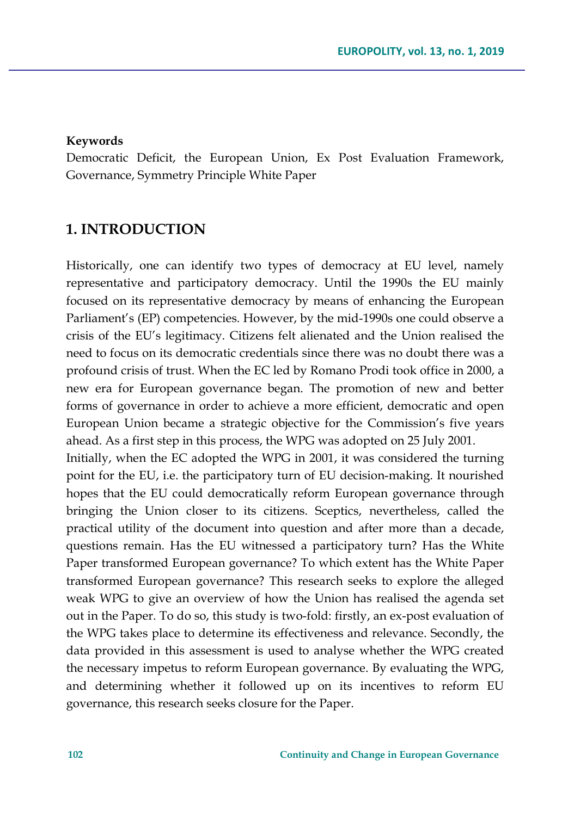#### **Keywords**

Democratic Deficit, the European Union, Ex Post Evaluation Framework, Governance, Symmetry Principle White Paper

### **1. INTRODUCTION**

Historically, one can identify two types of democracy at EU level, namely representative and participatory democracy. Until the 1990s the EU mainly focused on its representative democracy by means of enhancing the European Parliament's (EP) competencies. However, by the mid-1990s one could observe a crisis of the EU's legitimacy. Citizens felt alienated and the Union realised the need to focus on its democratic credentials since there was no doubt there was a profound crisis of trust. When the EC led by Romano Prodi took office in 2000, a new era for European governance began. The promotion of new and better forms of governance in order to achieve a more efficient, democratic and open European Union became a strategic objective for the Commission's five years ahead. As a first step in this process, the WPG was adopted on 25 July 2001.

Initially, when the EC adopted the WPG in 2001, it was considered the turning point for the EU, i.e. the participatory turn of EU decision-making. It nourished hopes that the EU could democratically reform European governance through bringing the Union closer to its citizens. Sceptics, nevertheless, called the practical utility of the document into question and after more than a decade, questions remain. Has the EU witnessed a participatory turn? Has the White Paper transformed European governance? To which extent has the White Paper transformed European governance? This research seeks to explore the alleged weak WPG to give an overview of how the Union has realised the agenda set out in the Paper. To do so, this study is two-fold: firstly, an ex-post evaluation of the WPG takes place to determine its effectiveness and relevance. Secondly, the data provided in this assessment is used to analyse whether the WPG created the necessary impetus to reform European governance. By evaluating the WPG, and determining whether it followed up on its incentives to reform EU governance, this research seeks closure for the Paper.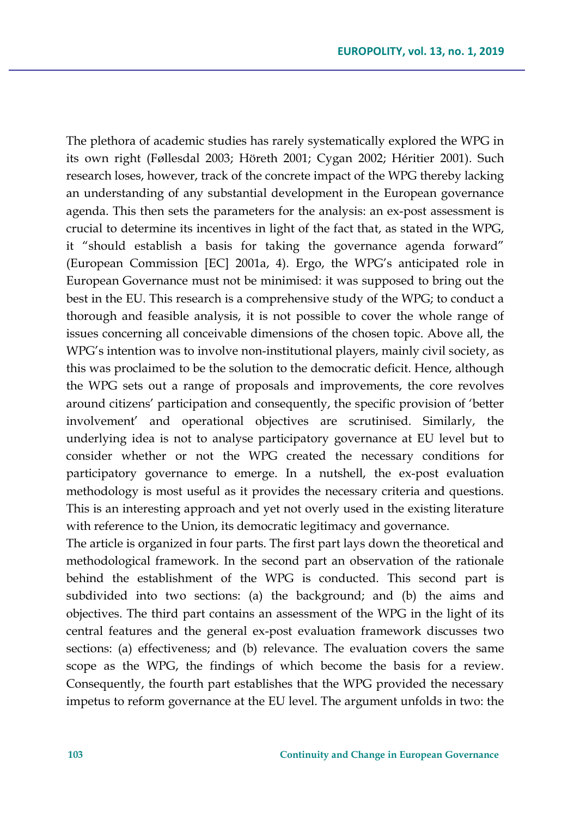The plethora of academic studies has rarely systematically explored the WPG in its own right (Føllesdal 2003; Höreth 2001; Cygan 2002; Héritier 2001). Such research loses, however, track of the concrete impact of the WPG thereby lacking an understanding of any substantial development in the European governance agenda. This then sets the parameters for the analysis: an ex-post assessment is crucial to determine its incentives in light of the fact that, as stated in the WPG, it "should establish a basis for taking the governance agenda forward" (European Commission [EC] 2001a, 4). Ergo, the WPG's anticipated role in European Governance must not be minimised: it was supposed to bring out the best in the EU. This research is a comprehensive study of the WPG; to conduct a thorough and feasible analysis, it is not possible to cover the whole range of issues concerning all conceivable dimensions of the chosen topic. Above all, the WPG's intention was to involve non-institutional players, mainly civil society, as this was proclaimed to be the solution to the democratic deficit. Hence, although the WPG sets out a range of proposals and improvements, the core revolves around citizens' participation and consequently, the specific provision of 'better involvement' and operational objectives are scrutinised. Similarly, the underlying idea is not to analyse participatory governance at EU level but to consider whether or not the WPG created the necessary conditions for participatory governance to emerge. In a nutshell, the ex-post evaluation methodology is most useful as it provides the necessary criteria and questions. This is an interesting approach and yet not overly used in the existing literature with reference to the Union, its democratic legitimacy and governance.

The article is organized in four parts. The first part lays down the theoretical and methodological framework. In the second part an observation of the rationale behind the establishment of the WPG is conducted. This second part is subdivided into two sections: (a) the background; and (b) the aims and objectives. The third part contains an assessment of the WPG in the light of its central features and the general ex-post evaluation framework discusses two sections: (a) effectiveness; and (b) relevance. The evaluation covers the same scope as the WPG, the findings of which become the basis for a review. Consequently, the fourth part establishes that the WPG provided the necessary impetus to reform governance at the EU level. The argument unfolds in two: the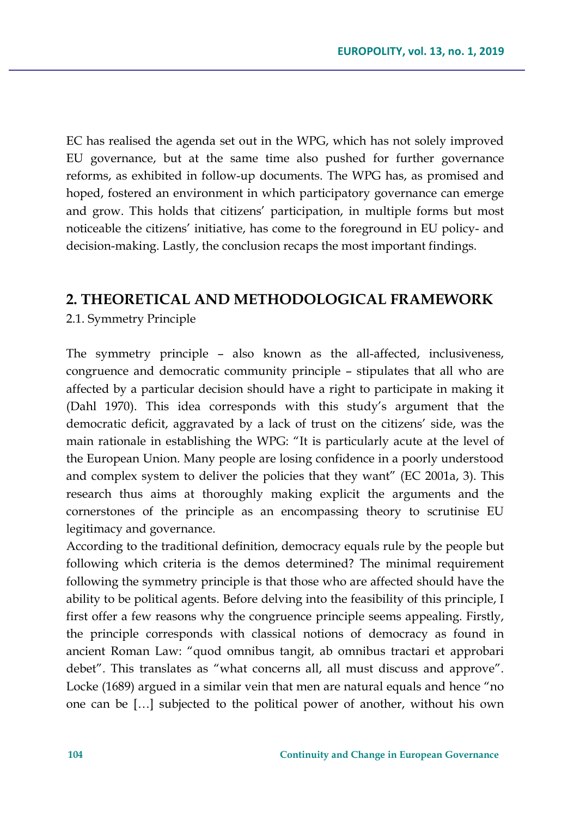EC has realised the agenda set out in the WPG, which has not solely improved EU governance, but at the same time also pushed for further governance reforms, as exhibited in follow-up documents. The WPG has, as promised and hoped, fostered an environment in which participatory governance can emerge and grow. This holds that citizens' participation, in multiple forms but most noticeable the citizens' initiative, has come to the foreground in EU policy- and decision-making. Lastly, the conclusion recaps the most important findings.

### **2. THEORETICAL AND METHODOLOGICAL FRAMEWORK**

2.1. Symmetry Principle

The symmetry principle – also known as the all-affected, inclusiveness, congruence and democratic community principle – stipulates that all who are affected by a particular decision should have a right to participate in making it (Dahl 1970). This idea corresponds with this study's argument that the democratic deficit, aggravated by a lack of trust on the citizens' side, was the main rationale in establishing the WPG: "It is particularly acute at the level of the European Union. Many people are losing confidence in a poorly understood and complex system to deliver the policies that they want" (EC 2001a, 3). This research thus aims at thoroughly making explicit the arguments and the cornerstones of the principle as an encompassing theory to scrutinise EU legitimacy and governance.

According to the traditional definition, democracy equals rule by the people but following which criteria is the demos determined? The minimal requirement following the symmetry principle is that those who are affected should have the ability to be political agents. Before delving into the feasibility of this principle, I first offer a few reasons why the congruence principle seems appealing. Firstly, the principle corresponds with classical notions of democracy as found in ancient Roman Law: "quod omnibus tangit, ab omnibus tractari et approbari debet". This translates as "what concerns all, all must discuss and approve". Locke (1689) argued in a similar vein that men are natural equals and hence "no one can be […] subjected to the political power of another, without his own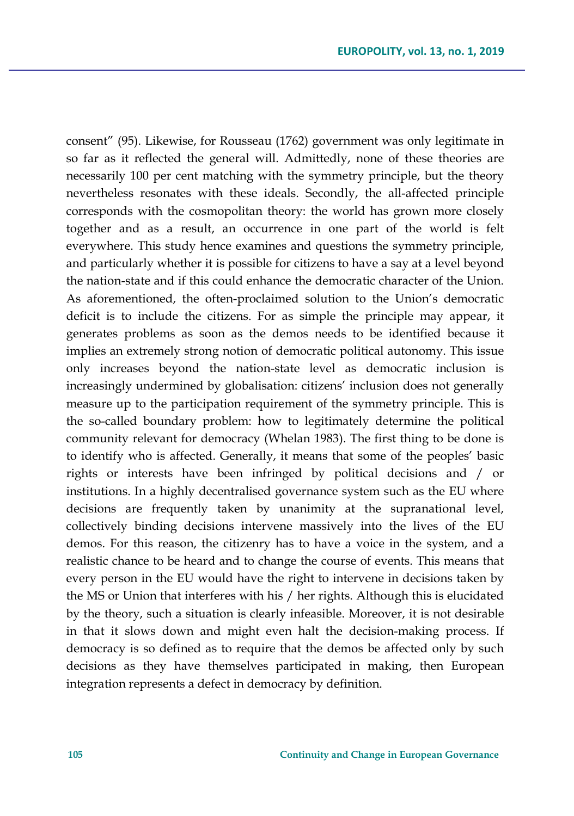consent" (95). Likewise, for Rousseau (1762) government was only legitimate in so far as it reflected the general will. Admittedly, none of these theories are necessarily 100 per cent matching with the symmetry principle, but the theory nevertheless resonates with these ideals. Secondly, the all-affected principle corresponds with the cosmopolitan theory: the world has grown more closely together and as a result, an occurrence in one part of the world is felt everywhere. This study hence examines and questions the symmetry principle, and particularly whether it is possible for citizens to have a say at a level beyond the nation-state and if this could enhance the democratic character of the Union. As aforementioned, the often-proclaimed solution to the Union's democratic deficit is to include the citizens. For as simple the principle may appear, it generates problems as soon as the demos needs to be identified because it implies an extremely strong notion of democratic political autonomy. This issue only increases beyond the nation-state level as democratic inclusion is increasingly undermined by globalisation: citizens' inclusion does not generally measure up to the participation requirement of the symmetry principle. This is the so-called boundary problem: how to legitimately determine the political community relevant for democracy (Whelan 1983). The first thing to be done is to identify who is affected. Generally, it means that some of the peoples' basic rights or interests have been infringed by political decisions and / or institutions. In a highly decentralised governance system such as the EU where decisions are frequently taken by unanimity at the supranational level, collectively binding decisions intervene massively into the lives of the EU demos. For this reason, the citizenry has to have a voice in the system, and a realistic chance to be heard and to change the course of events. This means that every person in the EU would have the right to intervene in decisions taken by the MS or Union that interferes with his / her rights. Although this is elucidated by the theory, such a situation is clearly infeasible. Moreover, it is not desirable in that it slows down and might even halt the decision-making process. If democracy is so defined as to require that the demos be affected only by such decisions as they have themselves participated in making, then European integration represents a defect in democracy by definition.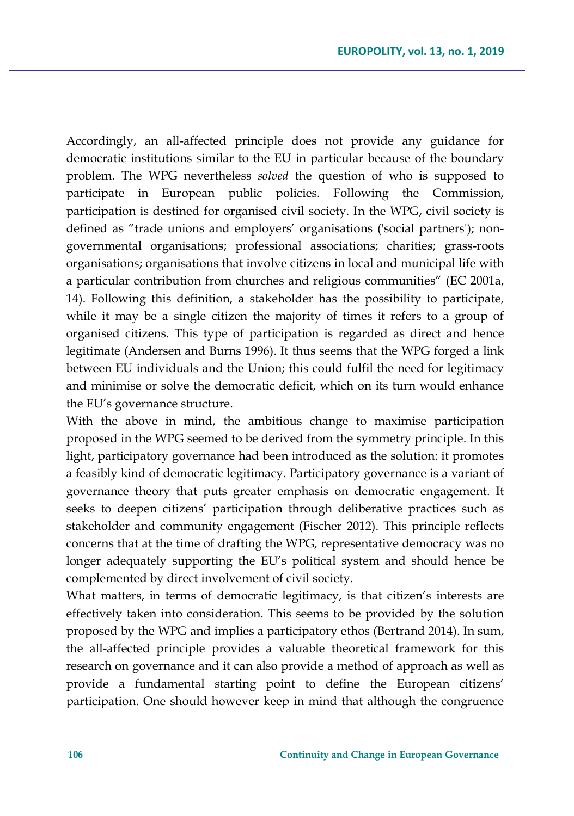Accordingly, an all-affected principle does not provide any guidance for democratic institutions similar to the EU in particular because of the boundary problem. The WPG nevertheless *solved* the question of who is supposed to participate in European public policies. Following the Commission, participation is destined for organised civil society. In the WPG, civil society is defined as "trade unions and employers' organisations ('social partners'); nongovernmental organisations; professional associations; charities; grass-roots organisations; organisations that involve citizens in local and municipal life with a particular contribution from churches and religious communities" (EC 2001a, 14). Following this definition, a stakeholder has the possibility to participate, while it may be a single citizen the majority of times it refers to a group of organised citizens. This type of participation is regarded as direct and hence legitimate (Andersen and Burns 1996). It thus seems that the WPG forged a link between EU individuals and the Union; this could fulfil the need for legitimacy and minimise or solve the democratic deficit, which on its turn would enhance the EU's governance structure.

With the above in mind, the ambitious change to maximise participation proposed in the WPG seemed to be derived from the symmetry principle. In this light, participatory governance had been introduced as the solution: it promotes a feasibly kind of democratic legitimacy. Participatory governance is a variant of governance theory that puts greater emphasis on democratic engagement. It seeks to deepen citizens' participation through deliberative practices such as stakeholder and community engagement (Fischer 2012). This principle reflects concerns that at the time of drafting the WPG*,* representative democracy was no longer adequately supporting the EU's political system and should hence be complemented by direct involvement of civil society.

What matters, in terms of democratic legitimacy, is that citizen's interests are effectively taken into consideration. This seems to be provided by the solution proposed by the WPG and implies a participatory ethos (Bertrand 2014). In sum, the all-affected principle provides a valuable theoretical framework for this research on governance and it can also provide a method of approach as well as provide a fundamental starting point to define the European citizens' participation. One should however keep in mind that although the congruence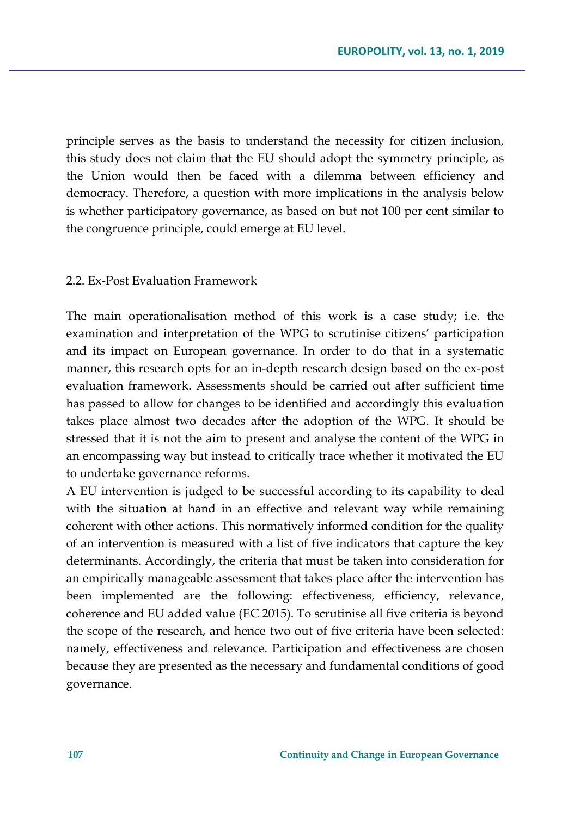principle serves as the basis to understand the necessity for citizen inclusion, this study does not claim that the EU should adopt the symmetry principle, as the Union would then be faced with a dilemma between efficiency and democracy. Therefore, a question with more implications in the analysis below is whether participatory governance, as based on but not 100 per cent similar to the congruence principle, could emerge at EU level.

#### 2.2. Ex-Post Evaluation Framework

The main operationalisation method of this work is a case study; i.e. the examination and interpretation of the WPG to scrutinise citizens' participation and its impact on European governance. In order to do that in a systematic manner, this research opts for an in-depth research design based on the ex-post evaluation framework. Assessments should be carried out after sufficient time has passed to allow for changes to be identified and accordingly this evaluation takes place almost two decades after the adoption of the WPG. It should be stressed that it is not the aim to present and analyse the content of the WPG in an encompassing way but instead to critically trace whether it motivated the EU to undertake governance reforms.

A EU intervention is judged to be successful according to its capability to deal with the situation at hand in an effective and relevant way while remaining coherent with other actions. This normatively informed condition for the quality of an intervention is measured with a list of five indicators that capture the key determinants. Accordingly, the criteria that must be taken into consideration for an empirically manageable assessment that takes place after the intervention has been implemented are the following: effectiveness, efficiency, relevance, coherence and EU added value (EC 2015). To scrutinise all five criteria is beyond the scope of the research, and hence two out of five criteria have been selected: namely, effectiveness and relevance. Participation and effectiveness are chosen because they are presented as the necessary and fundamental conditions of good governance.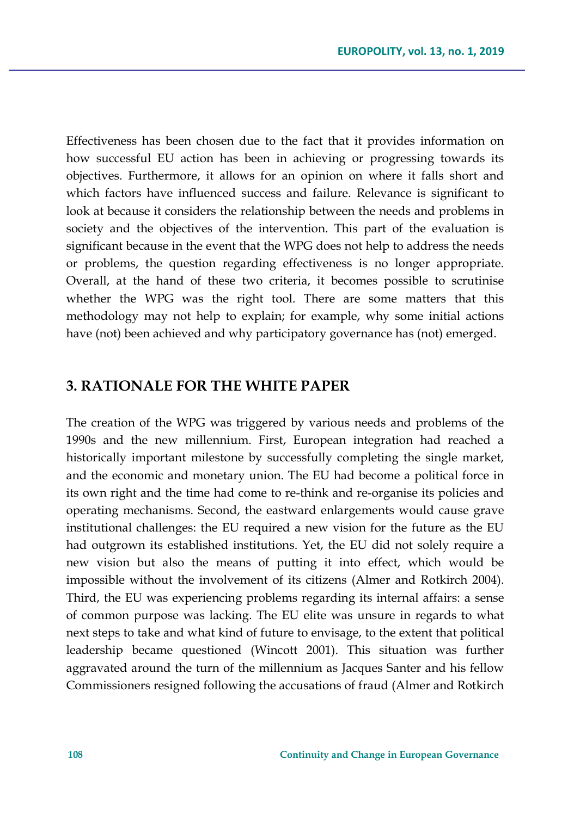Effectiveness has been chosen due to the fact that it provides information on how successful EU action has been in achieving or progressing towards its objectives. Furthermore, it allows for an opinion on where it falls short and which factors have influenced success and failure. Relevance is significant to look at because it considers the relationship between the needs and problems in society and the objectives of the intervention. This part of the evaluation is significant because in the event that the WPG does not help to address the needs or problems, the question regarding effectiveness is no longer appropriate. Overall, at the hand of these two criteria, it becomes possible to scrutinise whether the WPG was the right tool. There are some matters that this methodology may not help to explain; for example, why some initial actions have (not) been achieved and why participatory governance has (not) emerged.

### **3. RATIONALE FOR THE WHITE PAPER**

The creation of the WPG was triggered by various needs and problems of the 1990s and the new millennium. First, European integration had reached a historically important milestone by successfully completing the single market, and the economic and monetary union. The EU had become a political force in its own right and the time had come to re-think and re-organise its policies and operating mechanisms. Second, the eastward enlargements would cause grave institutional challenges: the EU required a new vision for the future as the EU had outgrown its established institutions. Yet, the EU did not solely require a new vision but also the means of putting it into effect, which would be impossible without the involvement of its citizens (Almer and Rotkirch 2004). Third, the EU was experiencing problems regarding its internal affairs: a sense of common purpose was lacking. The EU elite was unsure in regards to what next steps to take and what kind of future to envisage, to the extent that political leadership became questioned (Wincott 2001). This situation was further aggravated around the turn of the millennium as Jacques Santer and his fellow Commissioners resigned following the accusations of fraud (Almer and Rotkirch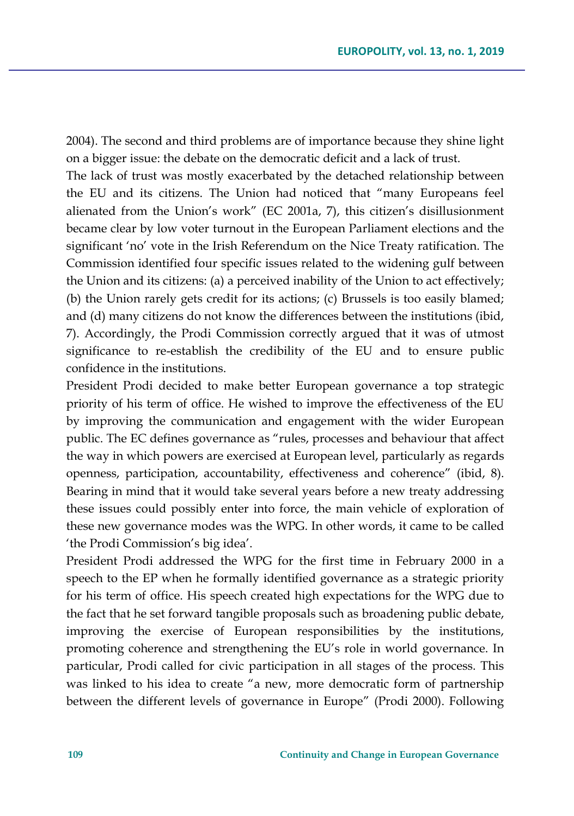2004). The second and third problems are of importance because they shine light on a bigger issue: the debate on the democratic deficit and a lack of trust.

The lack of trust was mostly exacerbated by the detached relationship between the EU and its citizens. The Union had noticed that "many Europeans feel alienated from the Union's work" (EC 2001a, 7), this citizen's disillusionment became clear by low voter turnout in the European Parliament elections and the significant 'no' vote in the Irish Referendum on the Nice Treaty ratification. The Commission identified four specific issues related to the widening gulf between the Union and its citizens: (a) a perceived inability of the Union to act effectively; (b) the Union rarely gets credit for its actions; (c) Brussels is too easily blamed; and (d) many citizens do not know the differences between the institutions (ibid, 7). Accordingly, the Prodi Commission correctly argued that it was of utmost significance to re-establish the credibility of the EU and to ensure public confidence in the institutions.

President Prodi decided to make better European governance a top strategic priority of his term of office. He wished to improve the effectiveness of the EU by improving the communication and engagement with the wider European public. The EC defines governance as "rules, processes and behaviour that affect the way in which powers are exercised at European level, particularly as regards openness, participation, accountability, effectiveness and coherence" (ibid, 8). Bearing in mind that it would take several years before a new treaty addressing these issues could possibly enter into force, the main vehicle of exploration of these new governance modes was the WPG. In other words, it came to be called 'the Prodi Commission's big idea'.

President Prodi addressed the WPG for the first time in February 2000 in a speech to the EP when he formally identified governance as a strategic priority for his term of office. His speech created high expectations for the WPG due to the fact that he set forward tangible proposals such as broadening public debate, improving the exercise of European responsibilities by the institutions, promoting coherence and strengthening the EU's role in world governance. In particular, Prodi called for civic participation in all stages of the process. This was linked to his idea to create "a new, more democratic form of partnership between the different levels of governance in Europe" (Prodi 2000). Following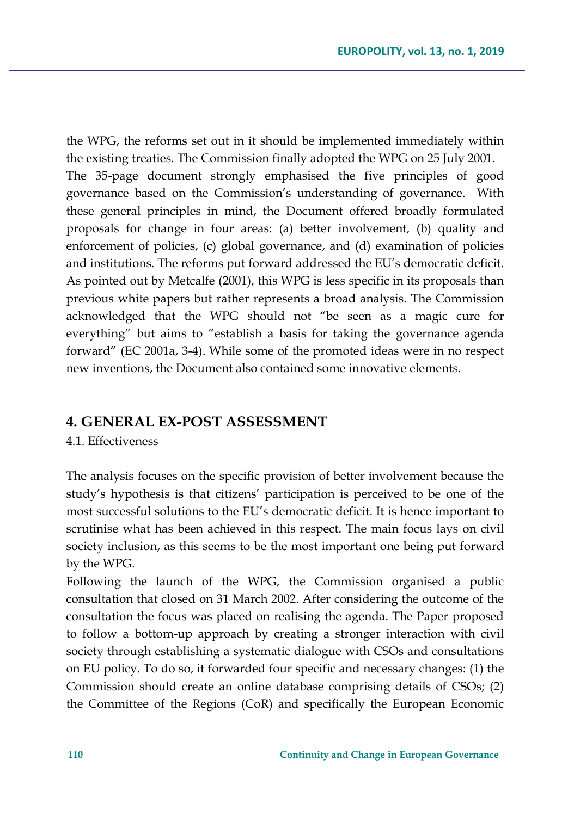the WPG, the reforms set out in it should be implemented immediately within the existing treaties. The Commission finally adopted the WPG on 25 July 2001. The 35-page document strongly emphasised the five principles of good governance based on the Commission's understanding of governance. With these general principles in mind, the Document offered broadly formulated proposals for change in four areas: (a) better involvement, (b) quality and enforcement of policies, (c) global governance, and (d) examination of policies and institutions. The reforms put forward addressed the EU's democratic deficit. As pointed out by Metcalfe (2001), this WPG is less specific in its proposals than previous white papers but rather represents a broad analysis. The Commission acknowledged that the WPG should not "be seen as a magic cure for everything" but aims to "establish a basis for taking the governance agenda forward" (EC 2001a, 3-4). While some of the promoted ideas were in no respect new inventions, the Document also contained some innovative elements.

### **4. GENERAL EX-POST ASSESSMENT**

4.1. Effectiveness

The analysis focuses on the specific provision of better involvement because the study's hypothesis is that citizens' participation is perceived to be one of the most successful solutions to the EU's democratic deficit. It is hence important to scrutinise what has been achieved in this respect. The main focus lays on civil society inclusion, as this seems to be the most important one being put forward by the WPG.

Following the launch of the WPG, the Commission organised a public consultation that closed on 31 March 2002. After considering the outcome of the consultation the focus was placed on realising the agenda. The Paper proposed to follow a bottom-up approach by creating a stronger interaction with civil society through establishing a systematic dialogue with CSOs and consultations on EU policy. To do so, it forwarded four specific and necessary changes: (1) the Commission should create an online database comprising details of CSOs; (2) the Committee of the Regions (CoR) and specifically the European Economic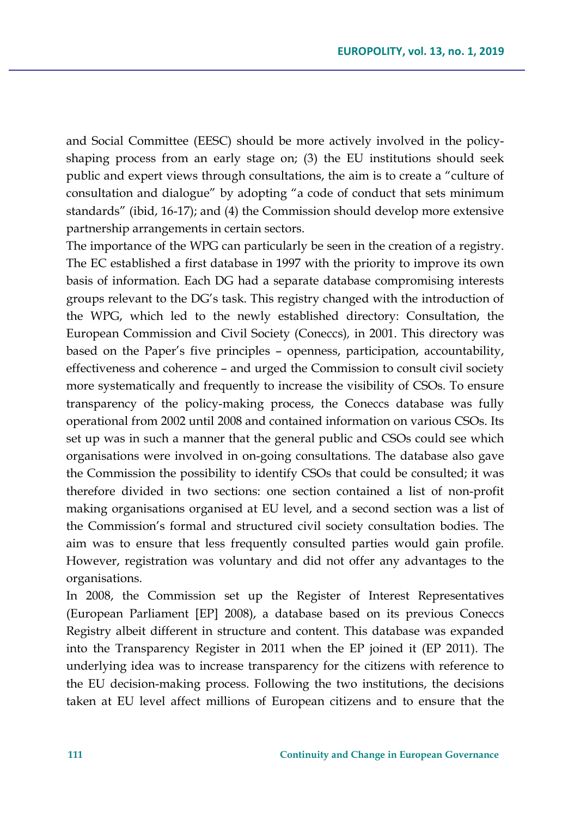and Social Committee (EESC) should be more actively involved in the policyshaping process from an early stage on; (3) the EU institutions should seek public and expert views through consultations, the aim is to create a "culture of consultation and dialogue" by adopting "a code of conduct that sets minimum standards" (ibid, 16-17); and (4) the Commission should develop more extensive partnership arrangements in certain sectors.

The importance of the WPG can particularly be seen in the creation of a registry. The EC established a first database in 1997 with the priority to improve its own basis of information. Each DG had a separate database compromising interests groups relevant to the DG's task. This registry changed with the introduction of the WPG, which led to the newly established directory: Consultation, the European Commission and Civil Society (Coneccs)*,* in 2001. This directory was based on the Paper's five principles – openness, participation, accountability, effectiveness and coherence – and urged the Commission to consult civil society more systematically and frequently to increase the visibility of CSOs. To ensure transparency of the policy-making process, the Coneccs database was fully operational from 2002 until 2008 and contained information on various CSOs. Its set up was in such a manner that the general public and CSOs could see which organisations were involved in on-going consultations. The database also gave the Commission the possibility to identify CSOs that could be consulted; it was therefore divided in two sections: one section contained a list of non-profit making organisations organised at EU level, and a second section was a list of the Commission's formal and structured civil society consultation bodies. The aim was to ensure that less frequently consulted parties would gain profile. However, registration was voluntary and did not offer any advantages to the organisations.

In 2008, the Commission set up the Register of Interest Representatives (European Parliament [EP] 2008), a database based on its previous Coneccs Registry albeit different in structure and content. This database was expanded into the Transparency Register in 2011 when the EP joined it (EP 2011). The underlying idea was to increase transparency for the citizens with reference to the EU decision-making process. Following the two institutions, the decisions taken at EU level affect millions of European citizens and to ensure that the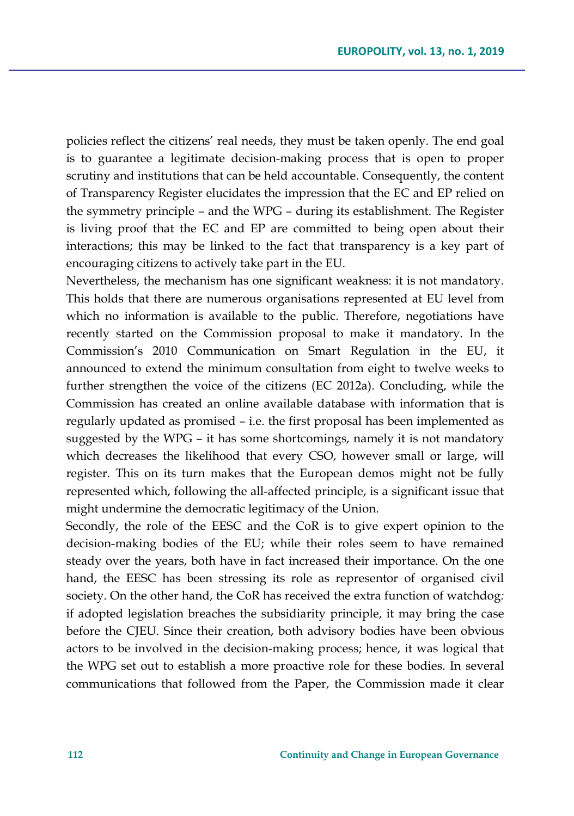policies reflect the citizens' real needs, they must be taken openly. The end goal is to guarantee a legitimate decision-making process that is open to proper scrutiny and institutions that can be held accountable. Consequently, the content of Transparency Register elucidates the impression that the EC and EP relied on the symmetry principle – and the WPG – during its establishment. The Register is living proof that the EC and EP are committed to being open about their interactions; this may be linked to the fact that transparency is a key part of encouraging citizens to actively take part in the EU.

Nevertheless, the mechanism has one significant weakness: it is not mandatory. This holds that there are numerous organisations represented at EU level from which no information is available to the public. Therefore, negotiations have recently started on the Commission proposal to make it mandatory. In the Commission's 2010 Communication on Smart Regulation in the EU, it announced to extend the minimum consultation from eight to twelve weeks to further strengthen the voice of the citizens (EC 2012a). Concluding, while the Commission has created an online available database with information that is regularly updated as promised – i.e. the first proposal has been implemented as suggested by the WPG – it has some shortcomings, namely it is not mandatory which decreases the likelihood that every CSO, however small or large, will register. This on its turn makes that the European demos might not be fully represented which, following the all-affected principle, is a significant issue that might undermine the democratic legitimacy of the Union.

Secondly, the role of the EESC and the CoR is to give expert opinion to the decision-making bodies of the EU; while their roles seem to have remained steady over the years, both have in fact increased their importance. On the one hand, the EESC has been stressing its role as representor of organised civil society. On the other hand, the CoR has received the extra function of watchdog*:*  if adopted legislation breaches the subsidiarity principle, it may bring the case before the CJEU. Since their creation, both advisory bodies have been obvious actors to be involved in the decision-making process; hence, it was logical that the WPG set out to establish a more proactive role for these bodies. In several communications that followed from the Paper, the Commission made it clear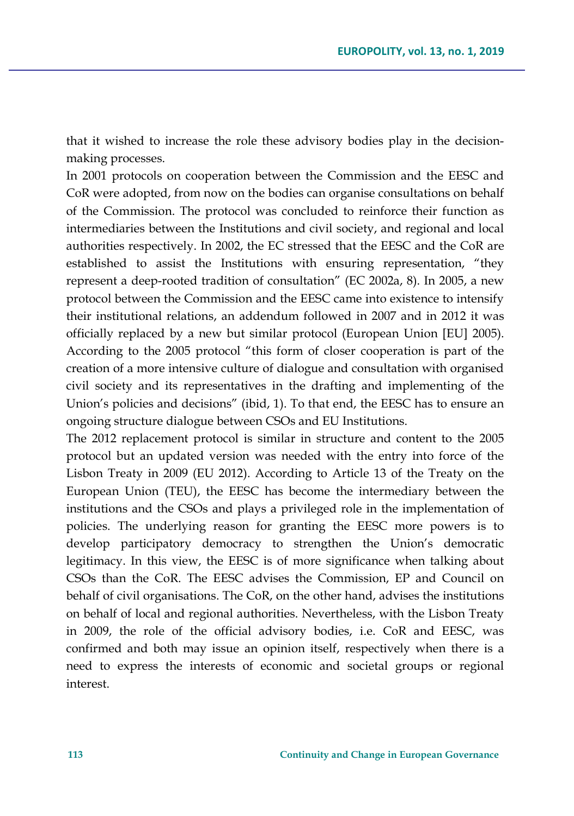that it wished to increase the role these advisory bodies play in the decisionmaking processes.

In 2001 protocols on cooperation between the Commission and the EESC and CoR were adopted, from now on the bodies can organise consultations on behalf of the Commission. The protocol was concluded to reinforce their function as intermediaries between the Institutions and civil society, and regional and local authorities respectively. In 2002, the EC stressed that the EESC and the CoR are established to assist the Institutions with ensuring representation, "they represent a deep-rooted tradition of consultation" (EC 2002a, 8). In 2005, a new protocol between the Commission and the EESC came into existence to intensify their institutional relations, an addendum followed in 2007 and in 2012 it was officially replaced by a new but similar protocol (European Union [EU] 2005). According to the 2005 protocol "this form of closer cooperation is part of the creation of a more intensive culture of dialogue and consultation with organised civil society and its representatives in the drafting and implementing of the Union's policies and decisions" (ibid, 1). To that end, the EESC has to ensure an ongoing structure dialogue between CSOs and EU Institutions.

The 2012 replacement protocol is similar in structure and content to the 2005 protocol but an updated version was needed with the entry into force of the Lisbon Treaty in 2009 (EU 2012). According to Article 13 of the Treaty on the European Union (TEU), the EESC has become the intermediary between the institutions and the CSOs and plays a privileged role in the implementation of policies. The underlying reason for granting the EESC more powers is to develop participatory democracy to strengthen the Union's democratic legitimacy. In this view, the EESC is of more significance when talking about CSOs than the CoR. The EESC advises the Commission, EP and Council on behalf of civil organisations. The CoR, on the other hand, advises the institutions on behalf of local and regional authorities. Nevertheless, with the Lisbon Treaty in 2009, the role of the official advisory bodies, i.e. CoR and EESC, was confirmed and both may issue an opinion itself, respectively when there is a need to express the interests of economic and societal groups or regional interest.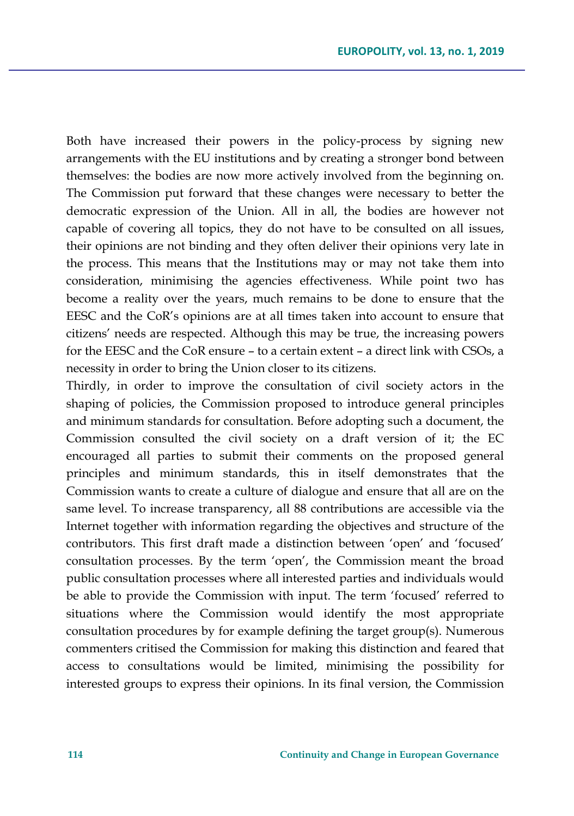Both have increased their powers in the policy-process by signing new arrangements with the EU institutions and by creating a stronger bond between themselves: the bodies are now more actively involved from the beginning on. The Commission put forward that these changes were necessary to better the democratic expression of the Union. All in all, the bodies are however not capable of covering all topics, they do not have to be consulted on all issues, their opinions are not binding and they often deliver their opinions very late in the process. This means that the Institutions may or may not take them into consideration, minimising the agencies effectiveness. While point two has become a reality over the years, much remains to be done to ensure that the EESC and the CoR's opinions are at all times taken into account to ensure that citizens' needs are respected. Although this may be true, the increasing powers for the EESC and the CoR ensure – to a certain extent – a direct link with CSOs, a necessity in order to bring the Union closer to its citizens.

Thirdly, in order to improve the consultation of civil society actors in the shaping of policies, the Commission proposed to introduce general principles and minimum standards for consultation. Before adopting such a document, the Commission consulted the civil society on a draft version of it; the EC encouraged all parties to submit their comments on the proposed general principles and minimum standards, this in itself demonstrates that the Commission wants to create a culture of dialogue and ensure that all are on the same level. To increase transparency, all 88 contributions are accessible via the Internet together with information regarding the objectives and structure of the contributors. This first draft made a distinction between 'open' and 'focused' consultation processes. By the term 'open', the Commission meant the broad public consultation processes where all interested parties and individuals would be able to provide the Commission with input. The term 'focused' referred to situations where the Commission would identify the most appropriate consultation procedures by for example defining the target group(s). Numerous commenters critised the Commission for making this distinction and feared that access to consultations would be limited, minimising the possibility for interested groups to express their opinions. In its final version, the Commission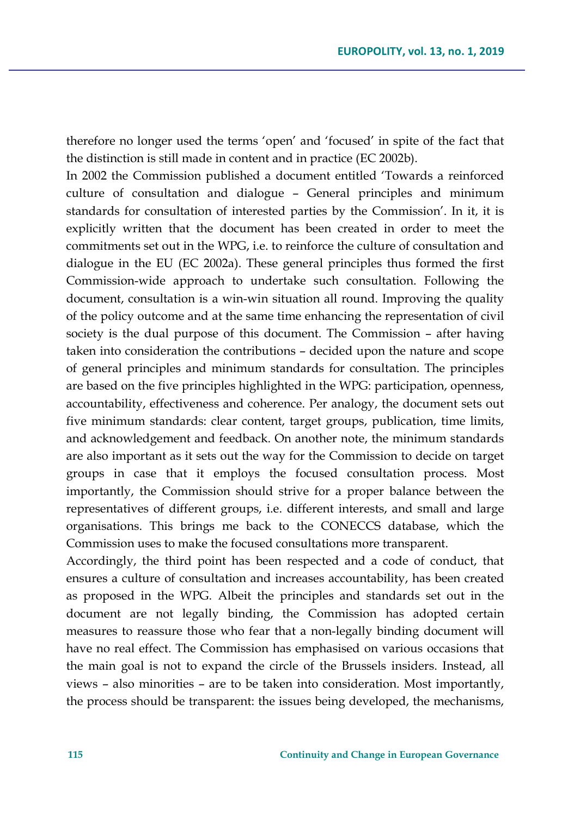therefore no longer used the terms 'open' and 'focused' in spite of the fact that the distinction is still made in content and in practice (EC 2002b).

In 2002 the Commission published a document entitled 'Towards a reinforced culture of consultation and dialogue – General principles and minimum standards for consultation of interested parties by the Commission'. In it, it is explicitly written that the document has been created in order to meet the commitments set out in the WPG, i.e. to reinforce the culture of consultation and dialogue in the EU (EC 2002a). These general principles thus formed the first Commission-wide approach to undertake such consultation. Following the document, consultation is a win-win situation all round. Improving the quality of the policy outcome and at the same time enhancing the representation of civil society is the dual purpose of this document. The Commission – after having taken into consideration the contributions – decided upon the nature and scope of general principles and minimum standards for consultation. The principles are based on the five principles highlighted in the WPG: participation, openness, accountability, effectiveness and coherence. Per analogy, the document sets out five minimum standards: clear content, target groups, publication, time limits, and acknowledgement and feedback. On another note, the minimum standards are also important as it sets out the way for the Commission to decide on target groups in case that it employs the focused consultation process. Most importantly, the Commission should strive for a proper balance between the representatives of different groups, i.e. different interests, and small and large organisations. This brings me back to the CONECCS database, which the Commission uses to make the focused consultations more transparent.

Accordingly, the third point has been respected and a code of conduct, that ensures a culture of consultation and increases accountability, has been created as proposed in the WPG. Albeit the principles and standards set out in the document are not legally binding, the Commission has adopted certain measures to reassure those who fear that a non-legally binding document will have no real effect. The Commission has emphasised on various occasions that the main goal is not to expand the circle of the Brussels insiders. Instead, all views – also minorities – are to be taken into consideration. Most importantly, the process should be transparent: the issues being developed, the mechanisms,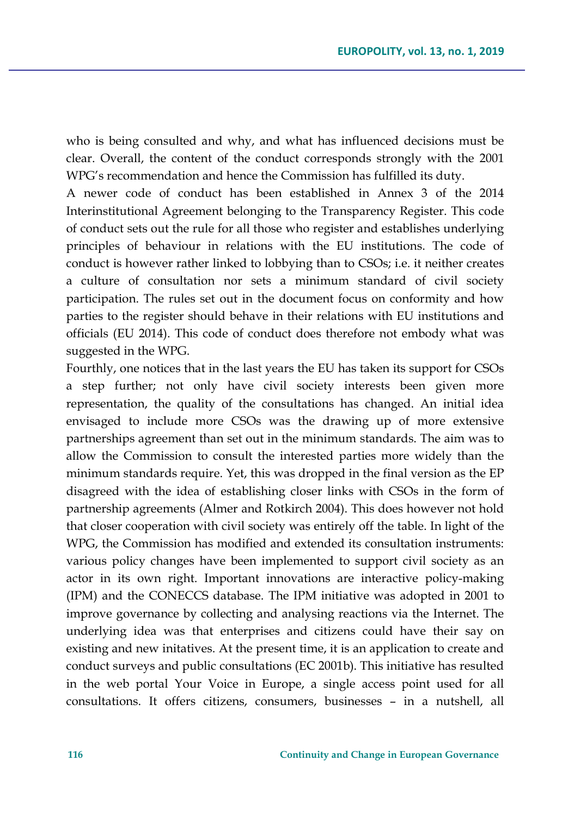who is being consulted and why, and what has influenced decisions must be clear. Overall, the content of the conduct corresponds strongly with the 2001 WPG's recommendation and hence the Commission has fulfilled its duty.

A newer code of conduct has been established in Annex 3 of the 2014 Interinstitutional Agreement belonging to the Transparency Register. This code of conduct sets out the rule for all those who register and establishes underlying principles of behaviour in relations with the EU institutions. The code of conduct is however rather linked to lobbying than to CSOs; i.e. it neither creates a culture of consultation nor sets a minimum standard of civil society participation. The rules set out in the document focus on conformity and how parties to the register should behave in their relations with EU institutions and officials (EU 2014). This code of conduct does therefore not embody what was suggested in the WPG.

Fourthly, one notices that in the last years the EU has taken its support for CSOs a step further; not only have civil society interests been given more representation, the quality of the consultations has changed. An initial idea envisaged to include more CSOs was the drawing up of more extensive partnerships agreement than set out in the minimum standards. The aim was to allow the Commission to consult the interested parties more widely than the minimum standards require. Yet, this was dropped in the final version as the EP disagreed with the idea of establishing closer links with CSOs in the form of partnership agreements (Almer and Rotkirch 2004). This does however not hold that closer cooperation with civil society was entirely off the table. In light of the WPG, the Commission has modified and extended its consultation instruments: various policy changes have been implemented to support civil society as an actor in its own right. Important innovations are interactive policy-making (IPM) and the CONECCS database. The IPM initiative was adopted in 2001 to improve governance by collecting and analysing reactions via the Internet. The underlying idea was that enterprises and citizens could have their say on existing and new initatives. At the present time, it is an application to create and conduct surveys and public consultations (EC 2001b). This initiative has resulted in the web portal Your Voice in Europe, a single access point used for all consultations. It offers citizens, consumers, businesses – in a nutshell, all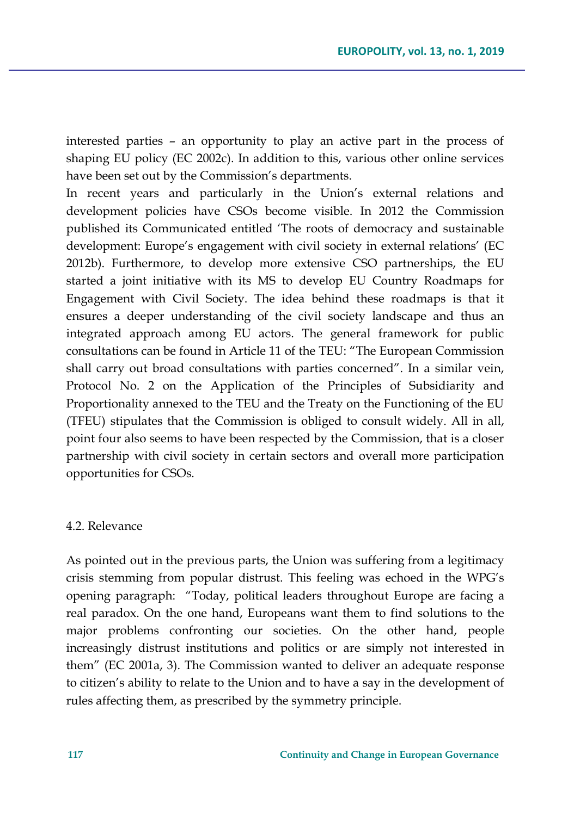interested parties – an opportunity to play an active part in the process of shaping EU policy (EC 2002c). In addition to this, various other online services have been set out by the Commission's departments.

In recent years and particularly in the Union's external relations and development policies have CSOs become visible. In 2012 the Commission published its Communicated entitled 'The roots of democracy and sustainable development: Europe's engagement with civil society in external relations' (EC 2012b). Furthermore, to develop more extensive CSO partnerships, the EU started a joint initiative with its MS to develop EU Country Roadmaps for Engagement with Civil Society. The idea behind these roadmaps is that it ensures a deeper understanding of the civil society landscape and thus an integrated approach among EU actors. The general framework for public consultations can be found in Article 11 of the TEU: "The European Commission shall carry out broad consultations with parties concerned". In a similar vein, Protocol No. 2 on the Application of the Principles of Subsidiarity and Proportionality annexed to the TEU and the Treaty on the Functioning of the EU (TFEU) stipulates that the Commission is obliged to consult widely. All in all, point four also seems to have been respected by the Commission, that is a closer partnership with civil society in certain sectors and overall more participation opportunities for CSOs.

#### 4.2. Relevance

As pointed out in the previous parts, the Union was suffering from a legitimacy crisis stemming from popular distrust. This feeling was echoed in the WPG's opening paragraph: "Today, political leaders throughout Europe are facing a real paradox. On the one hand, Europeans want them to find solutions to the major problems confronting our societies. On the other hand, people increasingly distrust institutions and politics or are simply not interested in them" (EC 2001a, 3). The Commission wanted to deliver an adequate response to citizen's ability to relate to the Union and to have a say in the development of rules affecting them, as prescribed by the symmetry principle.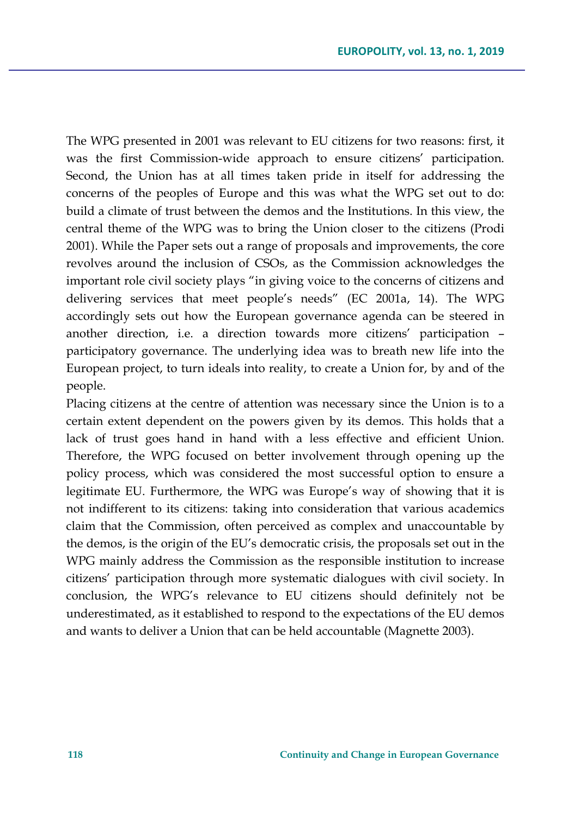The WPG presented in 2001 was relevant to EU citizens for two reasons: first, it was the first Commission-wide approach to ensure citizens' participation. Second, the Union has at all times taken pride in itself for addressing the concerns of the peoples of Europe and this was what the WPG set out to do: build a climate of trust between the demos and the Institutions. In this view, the central theme of the WPG was to bring the Union closer to the citizens (Prodi 2001). While the Paper sets out a range of proposals and improvements, the core revolves around the inclusion of CSOs, as the Commission acknowledges the important role civil society plays "in giving voice to the concerns of citizens and delivering services that meet people's needs" (EC 2001a, 14). The WPG accordingly sets out how the European governance agenda can be steered in another direction, i.e. a direction towards more citizens' participation – participatory governance. The underlying idea was to breath new life into the European project, to turn ideals into reality, to create a Union for, by and of the people.

Placing citizens at the centre of attention was necessary since the Union is to a certain extent dependent on the powers given by its demos. This holds that a lack of trust goes hand in hand with a less effective and efficient Union. Therefore, the WPG focused on better involvement through opening up the policy process, which was considered the most successful option to ensure a legitimate EU. Furthermore, the WPG was Europe's way of showing that it is not indifferent to its citizens: taking into consideration that various academics claim that the Commission, often perceived as complex and unaccountable by the demos, is the origin of the EU's democratic crisis, the proposals set out in the WPG mainly address the Commission as the responsible institution to increase citizens' participation through more systematic dialogues with civil society. In conclusion, the WPG's relevance to EU citizens should definitely not be underestimated, as it established to respond to the expectations of the EU demos and wants to deliver a Union that can be held accountable (Magnette 2003).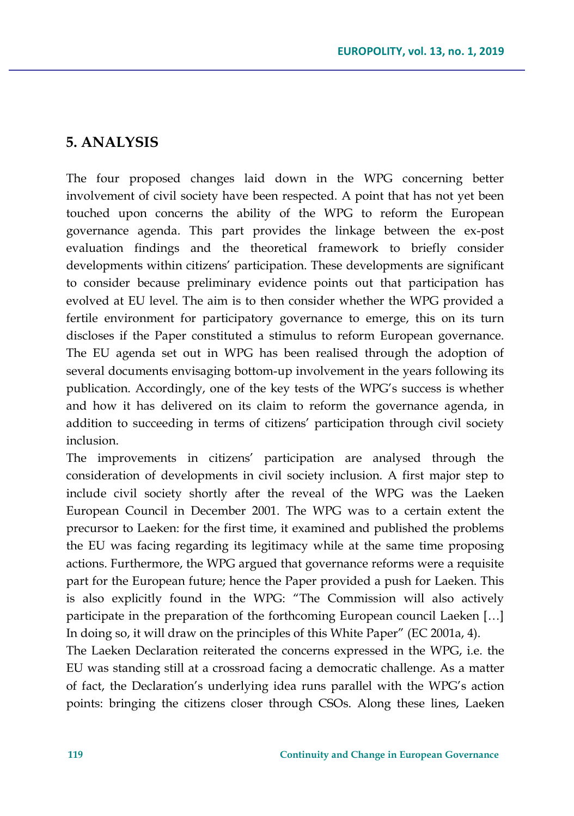# **5. ANALYSIS**

The four proposed changes laid down in the WPG concerning better involvement of civil society have been respected. A point that has not yet been touched upon concerns the ability of the WPG to reform the European governance agenda. This part provides the linkage between the ex-post evaluation findings and the theoretical framework to briefly consider developments within citizens' participation. These developments are significant to consider because preliminary evidence points out that participation has evolved at EU level. The aim is to then consider whether the WPG provided a fertile environment for participatory governance to emerge, this on its turn discloses if the Paper constituted a stimulus to reform European governance. The EU agenda set out in WPG has been realised through the adoption of several documents envisaging bottom-up involvement in the years following its publication. Accordingly, one of the key tests of the WPG's success is whether and how it has delivered on its claim to reform the governance agenda, in addition to succeeding in terms of citizens' participation through civil society inclusion.

The improvements in citizens' participation are analysed through the consideration of developments in civil society inclusion. A first major step to include civil society shortly after the reveal of the WPG was the Laeken European Council in December 2001. The WPG was to a certain extent the precursor to Laeken: for the first time, it examined and published the problems the EU was facing regarding its legitimacy while at the same time proposing actions. Furthermore, the WPG argued that governance reforms were a requisite part for the European future; hence the Paper provided a push for Laeken. This is also explicitly found in the WPG: "The Commission will also actively participate in the preparation of the forthcoming European council Laeken […] In doing so, it will draw on the principles of this White Paper" (EC 2001a, 4).

The Laeken Declaration reiterated the concerns expressed in the WPG, i.e. the EU was standing still at a crossroad facing a democratic challenge. As a matter of fact, the Declaration's underlying idea runs parallel with the WPG's action points: bringing the citizens closer through CSOs. Along these lines, Laeken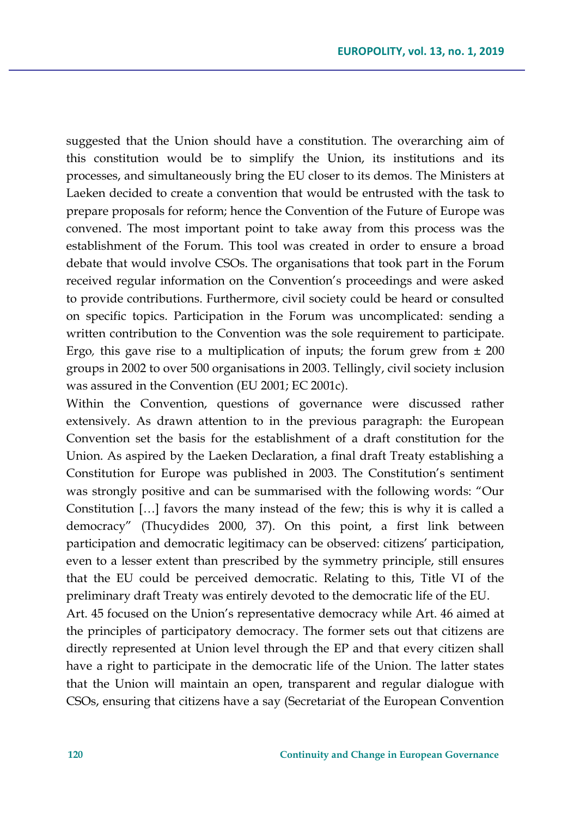suggested that the Union should have a constitution. The overarching aim of this constitution would be to simplify the Union, its institutions and its processes, and simultaneously bring the EU closer to its demos. The Ministers at Laeken decided to create a convention that would be entrusted with the task to prepare proposals for reform; hence the Convention of the Future of Europe was convened. The most important point to take away from this process was the establishment of the Forum. This tool was created in order to ensure a broad debate that would involve CSOs. The organisations that took part in the Forum received regular information on the Convention's proceedings and were asked to provide contributions. Furthermore, civil society could be heard or consulted on specific topics. Participation in the Forum was uncomplicated: sending a written contribution to the Convention was the sole requirement to participate. Ergo*,* this gave rise to a multiplication of inputs; the forum grew from ± 200 groups in 2002 to over 500 organisations in 2003. Tellingly, civil society inclusion was assured in the Convention (EU 2001; EC 2001c).

Within the Convention, questions of governance were discussed rather extensively. As drawn attention to in the previous paragraph: the European Convention set the basis for the establishment of a draft constitution for the Union. As aspired by the Laeken Declaration, a final draft Treaty establishing a Constitution for Europe was published in 2003. The Constitution's sentiment was strongly positive and can be summarised with the following words: "Our Constitution […] favors the many instead of the few; this is why it is called a democracy" (Thucydides 2000, 37). On this point, a first link between participation and democratic legitimacy can be observed: citizens' participation, even to a lesser extent than prescribed by the symmetry principle, still ensures that the EU could be perceived democratic. Relating to this, Title VI of the preliminary draft Treaty was entirely devoted to the democratic life of the EU.

Art. 45 focused on the Union's representative democracy while Art. 46 aimed at the principles of participatory democracy. The former sets out that citizens are directly represented at Union level through the EP and that every citizen shall have a right to participate in the democratic life of the Union. The latter states that the Union will maintain an open, transparent and regular dialogue with CSOs, ensuring that citizens have a say (Secretariat of the European Convention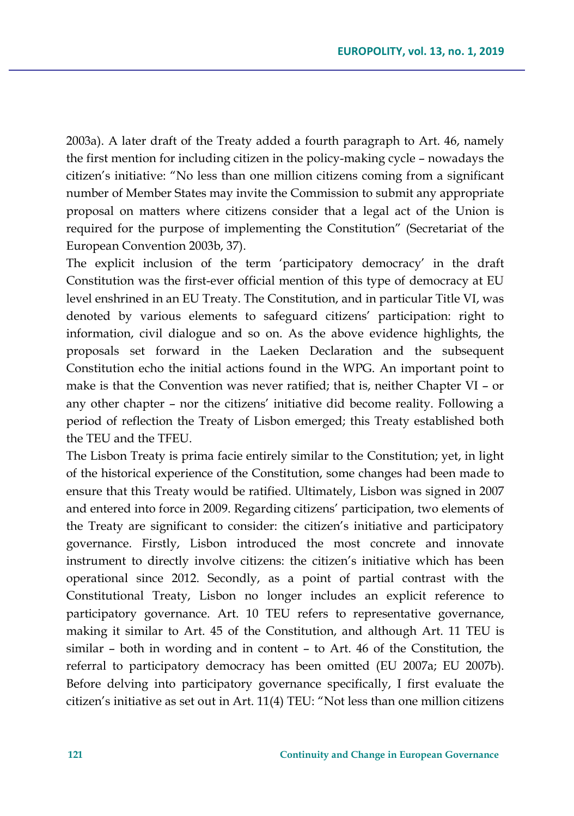2003a). A later draft of the Treaty added a fourth paragraph to Art. 46, namely the first mention for including citizen in the policy-making cycle – nowadays the citizen's initiative: "No less than one million citizens coming from a significant number of Member States may invite the Commission to submit any appropriate proposal on matters where citizens consider that a legal act of the Union is required for the purpose of implementing the Constitution" (Secretariat of the European Convention 2003b, 37).

The explicit inclusion of the term 'participatory democracy' in the draft Constitution was the first-ever official mention of this type of democracy at EU level enshrined in an EU Treaty. The Constitution, and in particular Title VI, was denoted by various elements to safeguard citizens' participation: right to information, civil dialogue and so on. As the above evidence highlights, the proposals set forward in the Laeken Declaration and the subsequent Constitution echo the initial actions found in the WPG. An important point to make is that the Convention was never ratified; that is, neither Chapter VI – or any other chapter – nor the citizens' initiative did become reality. Following a period of reflection the Treaty of Lisbon emerged; this Treaty established both the TEU and the TFEU.

The Lisbon Treaty is prima facie entirely similar to the Constitution; yet, in light of the historical experience of the Constitution, some changes had been made to ensure that this Treaty would be ratified. Ultimately, Lisbon was signed in 2007 and entered into force in 2009. Regarding citizens' participation, two elements of the Treaty are significant to consider: the citizen's initiative and participatory governance. Firstly, Lisbon introduced the most concrete and innovate instrument to directly involve citizens: the citizen's initiative which has been operational since 2012. Secondly, as a point of partial contrast with the Constitutional Treaty, Lisbon no longer includes an explicit reference to participatory governance. Art. 10 TEU refers to representative governance, making it similar to Art. 45 of the Constitution, and although Art. 11 TEU is similar – both in wording and in content – to Art. 46 of the Constitution, the referral to participatory democracy has been omitted (EU 2007a; EU 2007b). Before delving into participatory governance specifically, I first evaluate the citizen's initiative as set out in Art. 11(4) TEU: "Not less than one million citizens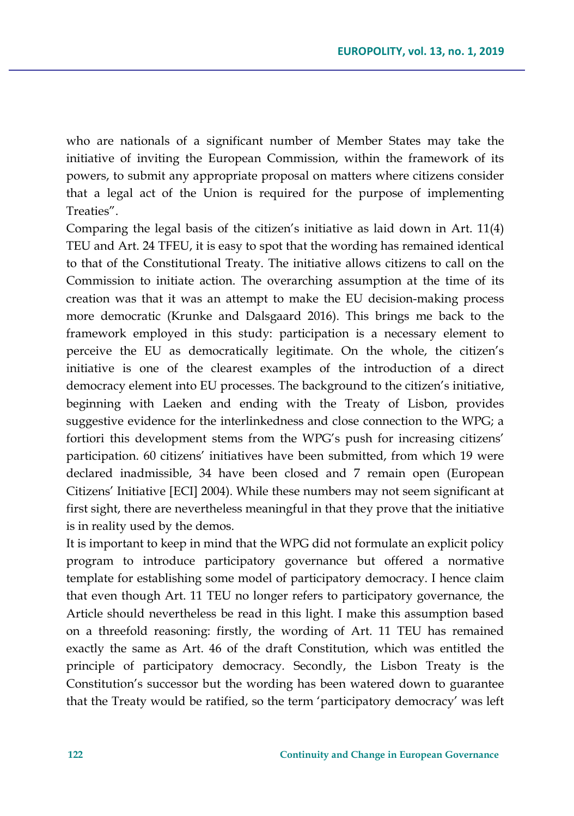who are nationals of a significant number of Member States may take the initiative of inviting the European Commission, within the framework of its powers, to submit any appropriate proposal on matters where citizens consider that a legal act of the Union is required for the purpose of implementing Treaties".

Comparing the legal basis of the citizen's initiative as laid down in Art. 11(4) TEU and Art. 24 TFEU, it is easy to spot that the wording has remained identical to that of the Constitutional Treaty. The initiative allows citizens to call on the Commission to initiate action. The overarching assumption at the time of its creation was that it was an attempt to make the EU decision-making process more democratic (Krunke and Dalsgaard 2016). This brings me back to the framework employed in this study: participation is a necessary element to perceive the EU as democratically legitimate. On the whole, the citizen's initiative is one of the clearest examples of the introduction of a direct democracy element into EU processes. The background to the citizen's initiative, beginning with Laeken and ending with the Treaty of Lisbon, provides suggestive evidence for the interlinkedness and close connection to the WPG; a fortiori this development stems from the WPG's push for increasing citizens' participation. 60 citizens' initiatives have been submitted, from which 19 were declared inadmissible, 34 have been closed and 7 remain open (European Citizens' Initiative [ECI] 2004). While these numbers may not seem significant at first sight, there are nevertheless meaningful in that they prove that the initiative is in reality used by the demos.

It is important to keep in mind that the WPG did not formulate an explicit policy program to introduce participatory governance but offered a normative template for establishing some model of participatory democracy. I hence claim that even though Art. 11 TEU no longer refers to participatory governance*,* the Article should nevertheless be read in this light. I make this assumption based on a threefold reasoning: firstly, the wording of Art. 11 TEU has remained exactly the same as Art. 46 of the draft Constitution, which was entitled the principle of participatory democracy*.* Secondly, the Lisbon Treaty is the Constitution's successor but the wording has been watered down to guarantee that the Treaty would be ratified, so the term 'participatory democracy' was left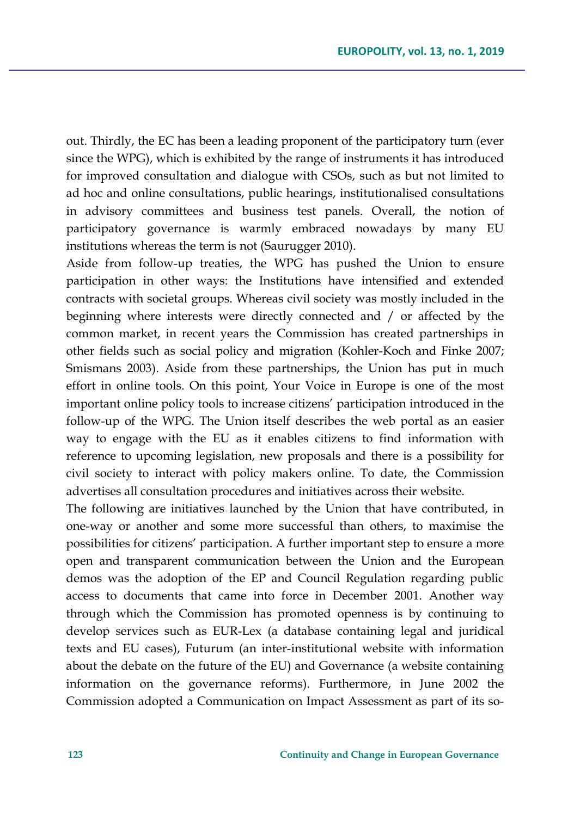out. Thirdly, the EC has been a leading proponent of the participatory turn (ever since the WPG), which is exhibited by the range of instruments it has introduced for improved consultation and dialogue with CSOs, such as but not limited to ad hoc and online consultations, public hearings, institutionalised consultations in advisory committees and business test panels. Overall, the notion of participatory governance is warmly embraced nowadays by many EU institutions whereas the term is not (Saurugger 2010).

Aside from follow-up treaties, the WPG has pushed the Union to ensure participation in other ways: the Institutions have intensified and extended contracts with societal groups. Whereas civil society was mostly included in the beginning where interests were directly connected and / or affected by the common market, in recent years the Commission has created partnerships in other fields such as social policy and migration (Kohler-Koch and Finke 2007; Smismans 2003). Aside from these partnerships, the Union has put in much effort in online tools. On this point, Your Voice in Europe is one of the most important online policy tools to increase citizens' participation introduced in the follow-up of the WPG. The Union itself describes the web portal as an easier way to engage with the EU as it enables citizens to find information with reference to upcoming legislation, new proposals and there is a possibility for civil society to interact with policy makers online. To date, the Commission advertises all consultation procedures and initiatives across their website.

The following are initiatives launched by the Union that have contributed, in one-way or another and some more successful than others, to maximise the possibilities for citizens' participation. A further important step to ensure a more open and transparent communication between the Union and the European demos was the adoption of the EP and Council Regulation regarding public access to documents that came into force in December 2001. Another way through which the Commission has promoted openness is by continuing to develop services such as EUR-Lex (a database containing legal and juridical texts and EU cases), Futurum (an inter-institutional website with information about the debate on the future of the EU) and Governance (a website containing information on the governance reforms). Furthermore, in June 2002 the Commission adopted a Communication on Impact Assessment as part of its so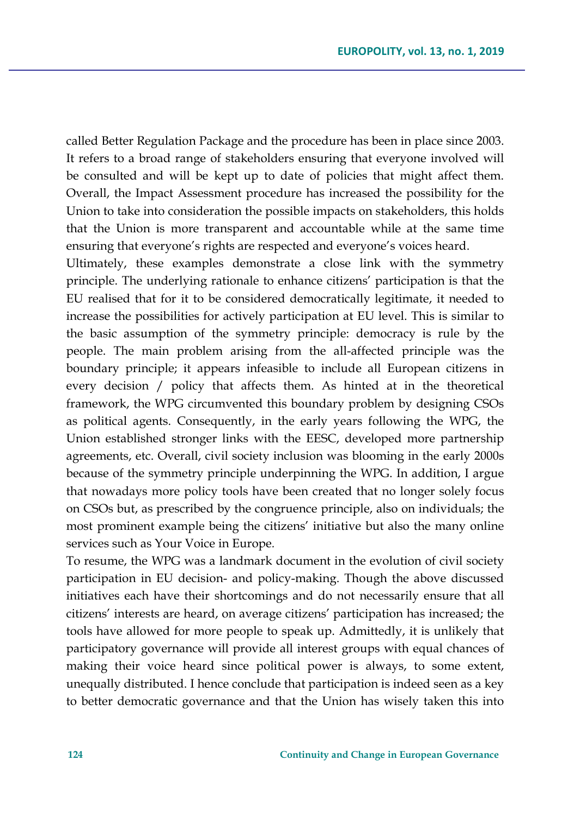called Better Regulation Package and the procedure has been in place since 2003. It refers to a broad range of stakeholders ensuring that everyone involved will be consulted and will be kept up to date of policies that might affect them. Overall, the Impact Assessment procedure has increased the possibility for the Union to take into consideration the possible impacts on stakeholders, this holds that the Union is more transparent and accountable while at the same time ensuring that everyone's rights are respected and everyone's voices heard.

Ultimately, these examples demonstrate a close link with the symmetry principle. The underlying rationale to enhance citizens' participation is that the EU realised that for it to be considered democratically legitimate, it needed to increase the possibilities for actively participation at EU level. This is similar to the basic assumption of the symmetry principle: democracy is rule by the people. The main problem arising from the all-affected principle was the boundary principle; it appears infeasible to include all European citizens in every decision / policy that affects them. As hinted at in the theoretical framework, the WPG circumvented this boundary problem by designing CSOs as political agents. Consequently, in the early years following the WPG, the Union established stronger links with the EESC, developed more partnership agreements, etc. Overall, civil society inclusion was blooming in the early 2000s because of the symmetry principle underpinning the WPG. In addition, I argue that nowadays more policy tools have been created that no longer solely focus on CSOs but, as prescribed by the congruence principle, also on individuals; the most prominent example being the citizens' initiative but also the many online services such as Your Voice in Europe*.* 

To resume, the WPG was a landmark document in the evolution of civil society participation in EU decision- and policy-making. Though the above discussed initiatives each have their shortcomings and do not necessarily ensure that all citizens' interests are heard, on average citizens' participation has increased; the tools have allowed for more people to speak up. Admittedly, it is unlikely that participatory governance will provide all interest groups with equal chances of making their voice heard since political power is always, to some extent, unequally distributed. I hence conclude that participation is indeed seen as a key to better democratic governance and that the Union has wisely taken this into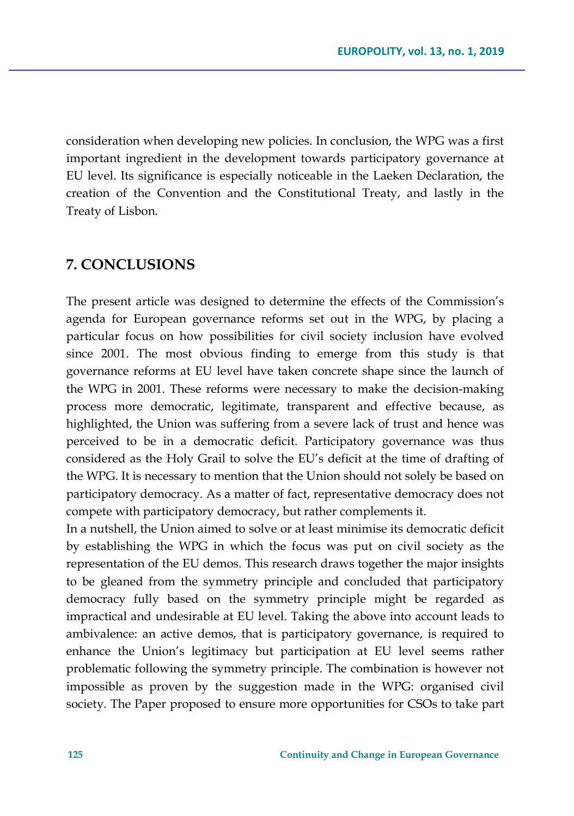consideration when developing new policies. In conclusion, the WPG was a first important ingredient in the development towards participatory governance at EU level. Its significance is especially noticeable in the Laeken Declaration, the creation of the Convention and the Constitutional Treaty, and lastly in the Treaty of Lisbon.

# **7. CONCLUSIONS**

The present article was designed to determine the effects of the Commission's agenda for European governance reforms set out in the WPG, by placing a particular focus on how possibilities for civil society inclusion have evolved since 2001. The most obvious finding to emerge from this study is that governance reforms at EU level have taken concrete shape since the launch of the WPG in 2001. These reforms were necessary to make the decision-making process more democratic, legitimate, transparent and effective because, as highlighted, the Union was suffering from a severe lack of trust and hence was perceived to be in a democratic deficit. Participatory governance was thus considered as the Holy Grail to solve the EU's deficit at the time of drafting of the WPG. It is necessary to mention that the Union should not solely be based on participatory democracy. As a matter of fact, representative democracy does not compete with participatory democracy, but rather complements it.

In a nutshell, the Union aimed to solve or at least minimise its democratic deficit by establishing the WPG in which the focus was put on civil society as the representation of the EU demos. This research draws together the major insights to be gleaned from the symmetry principle and concluded that participatory democracy fully based on the symmetry principle might be regarded as impractical and undesirable at EU level. Taking the above into account leads to ambivalence: an active demos, that is participatory governance, is required to enhance the Union's legitimacy but participation at EU level seems rather problematic following the symmetry principle. The combination is however not impossible as proven by the suggestion made in the WPG: organised civil society. The Paper proposed to ensure more opportunities for CSOs to take part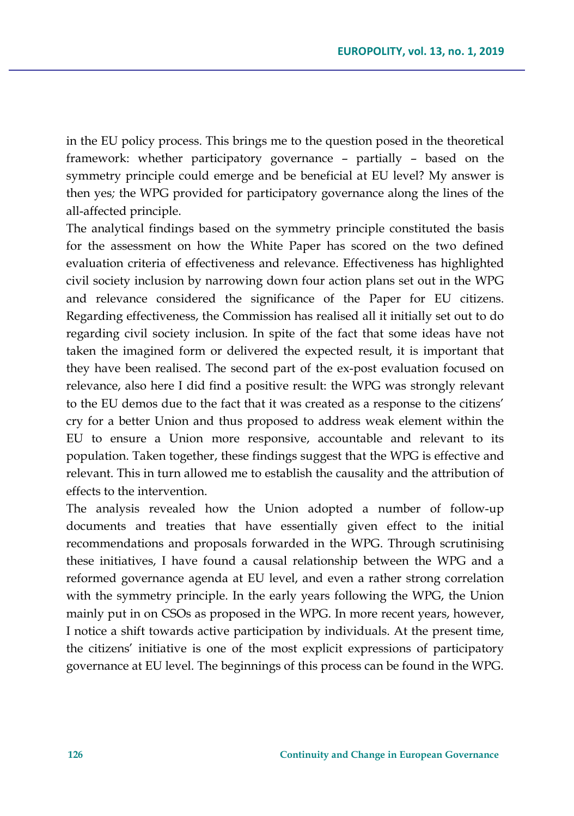in the EU policy process. This brings me to the question posed in the theoretical framework: whether participatory governance – partially – based on the symmetry principle could emerge and be beneficial at EU level? My answer is then yes*;* the WPG provided for participatory governance along the lines of the all-affected principle.

The analytical findings based on the symmetry principle constituted the basis for the assessment on how the White Paper has scored on the two defined evaluation criteria of effectiveness and relevance. Effectiveness has highlighted civil society inclusion by narrowing down four action plans set out in the WPG and relevance considered the significance of the Paper for EU citizens. Regarding effectiveness, the Commission has realised all it initially set out to do regarding civil society inclusion. In spite of the fact that some ideas have not taken the imagined form or delivered the expected result, it is important that they have been realised. The second part of the ex-post evaluation focused on relevance, also here I did find a positive result: the WPG was strongly relevant to the EU demos due to the fact that it was created as a response to the citizens' cry for a better Union and thus proposed to address weak element within the EU to ensure a Union more responsive, accountable and relevant to its population. Taken together, these findings suggest that the WPG is effective and relevant. This in turn allowed me to establish the causality and the attribution of effects to the intervention.

The analysis revealed how the Union adopted a number of follow-up documents and treaties that have essentially given effect to the initial recommendations and proposals forwarded in the WPG. Through scrutinising these initiatives, I have found a causal relationship between the WPG and a reformed governance agenda at EU level, and even a rather strong correlation with the symmetry principle. In the early years following the WPG, the Union mainly put in on CSOs as proposed in the WPG. In more recent years, however, I notice a shift towards active participation by individuals. At the present time, the citizens' initiative is one of the most explicit expressions of participatory governance at EU level. The beginnings of this process can be found in the WPG.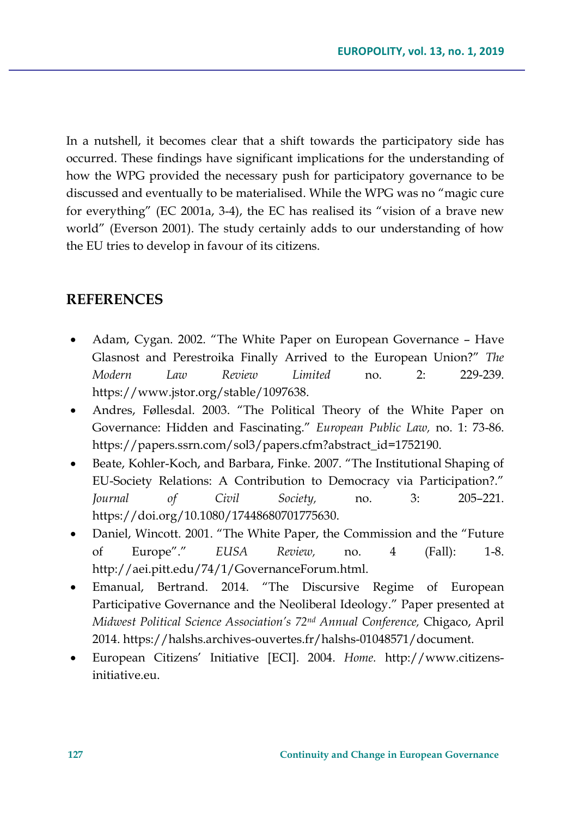In a nutshell, it becomes clear that a shift towards the participatory side has occurred. These findings have significant implications for the understanding of how the WPG provided the necessary push for participatory governance to be discussed and eventually to be materialised. While the WPG was no "magic cure for everything" (EC 2001a, 3-4), the EC has realised its "vision of a brave new world" (Everson 2001). The study certainly adds to our understanding of how the EU tries to develop in favour of its citizens.

# **REFERENCES**

- Adam, Cygan. 2002. "The White Paper on European Governance Have Glasnost and Perestroika Finally Arrived to the European Union?" *The Modern Law Review Limited* no. 2: 229-239. https://www.jstor.org/stable/1097638.
- Andres, Føllesdal. 2003. "The Political Theory of the White Paper on Governance: Hidden and Fascinating." *European Public Law,* no. 1: 73-86. https://papers.ssrn.com/sol3/papers.cfm?abstract\_id=1752190.
- Beate, Kohler-Koch, and Barbara, Finke. 2007. "The Institutional Shaping of EU-Society Relations: A Contribution to Democracy via Participation?." *Journal of Civil Society,* no. 3: 205–221. https://doi.org/10.1080/17448680701775630.
- Daniel, Wincott. 2001. "The White Paper, the Commission and the "Future of Europe"." *EUSA Review,* no. 4 (Fall): 1-8. http://aei.pitt.edu/74/1/GovernanceForum.html.
- Emanual, Bertrand. 2014. "The Discursive Regime of European Participative Governance and the Neoliberal Ideology." Paper presented at *Midwest Political Science Association's 72nd Annual Conference,* Chigaco, April 2014. https://halshs.archives-ouvertes.fr/halshs-01048571/document.
- European Citizens' Initiative [ECI]. 2004. *Home.* http://www.citizensinitiative.eu.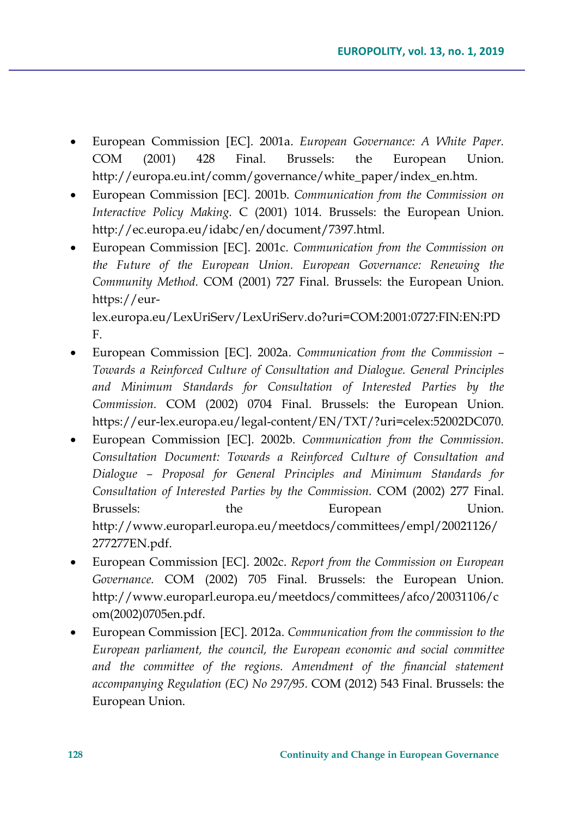- European Commission [EC]. 2001a. *European Governance: A White Paper.*  COM (2001) 428 Final. Brussels: the European Union. http://europa.eu.int/comm/governance/white\_paper/index\_en.htm.
- European Commission [EC]. 2001b. *Communication from the Commission on Interactive Policy Making.* C (2001) 1014. Brussels: the European Union. http://ec.europa.eu/idabc/en/document/7397.html.
- European Commission [EC]. 2001c. *Communication from the Commission on the Future of the European Union. European Governance: Renewing the Community Method.* COM (2001) 727 Final. Brussels: the European Union. https://eurlex.europa.eu/LexUriServ/LexUriServ.do?uri=COM:2001:0727:FIN:EN:PD F.
- European Commission [EC]. 2002a. *Communication from the Commission – Towards a Reinforced Culture of Consultation and Dialogue. General Principles and Minimum Standards for Consultation of Interested Parties by the Commission.* COM (2002) 0704 Final. Brussels: the European Union. https://eur-lex.europa.eu/legal-content/EN/TXT/?uri=celex:52002DC070.
- European Commission [EC]. 2002b. *Communication from the Commission. Consultation Document: Towards a Reinforced Culture of Consultation and Dialogue – Proposal for General Principles and Minimum Standards for Consultation of Interested Parties by the Commission.* COM (2002) 277 Final. Brussels: the European Union. http://www.europarl.europa.eu/meetdocs/committees/empl/20021126/ 277277EN.pdf.
- European Commission [EC]. 2002c. *Report from the Commission on European Governance.* COM (2002) 705 Final. Brussels: the European Union. http://www.europarl.europa.eu/meetdocs/committees/afco/20031106/c om(2002)0705en.pdf.
- European Commission [EC]. 2012a. *Communication from the commission to the European parliament, the council, the European economic and social committee and the committee of the regions. Amendment of the financial statement accompanying Regulation (EC) No 297/95.* COM (2012) 543 Final. Brussels: the European Union.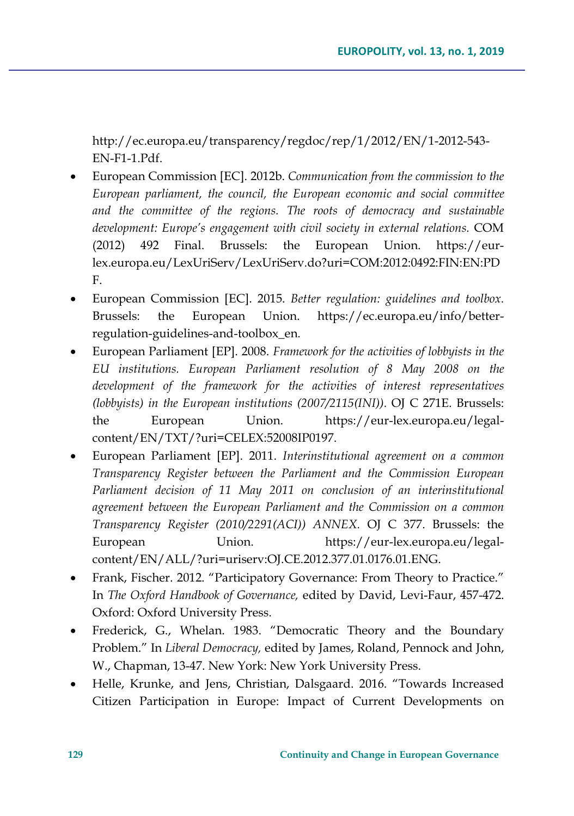http://ec.europa.eu/transparency/regdoc/rep/1/2012/EN/1-2012-543- EN-F1-1.Pdf.

- European Commission [EC]. 2012b. *Communication from the commission to the European parliament, the council, the European economic and social committee and the committee of the regions. The roots of democracy and sustainable*  development: Europe's engagement with civil society in external relations. COM (2012) 492 Final. Brussels: the European Union. https://eurlex.europa.eu/LexUriServ/LexUriServ.do?uri=COM:2012:0492:FIN:EN:PD F.
- European Commission [EC]. 2015. *Better regulation: guidelines and toolbox.* Brussels: the European Union. https://ec.europa.eu/info/betterregulation-guidelines-and-toolbox\_en.
- European Parliament [EP]. 2008. *Framework for the activities of lobbyists in the EU institutions. European Parliament resolution of 8 May 2008 on the development of the framework for the activities of interest representatives (lobbyists) in the European institutions (2007/2115(INI)).* OJ C 271E. Brussels: the European Union. https://eur-lex.europa.eu/legalcontent/EN/TXT/?uri=CELEX:52008IP0197.
- European Parliament [EP]. 2011. *Interinstitutional agreement on a common Transparency Register between the Parliament and the Commission European Parliament decision of 11 May 2011 on conclusion of an interinstitutional agreement between the European Parliament and the Commission on a common Transparency Register (2010/2291(ACI)) ANNEX.* OJ C 377. Brussels: the European Union. https://eur-lex.europa.eu/legalcontent/EN/ALL/?uri=uriserv:OJ.CE.2012.377.01.0176.01.ENG.
- Frank, Fischer. 2012. "Participatory Governance: From Theory to Practice." In *The Oxford Handbook of Governance,* edited by David, Levi-Faur, 457-472. Oxford: Oxford University Press.
- Frederick, G., Whelan. 1983. "Democratic Theory and the Boundary Problem." In *Liberal Democracy,* edited by James, Roland, Pennock and John, W., Chapman, 13-47. New York: New York University Press.
- Helle, Krunke, and Jens, Christian, Dalsgaard. 2016. "Towards Increased Citizen Participation in Europe: Impact of Current Developments on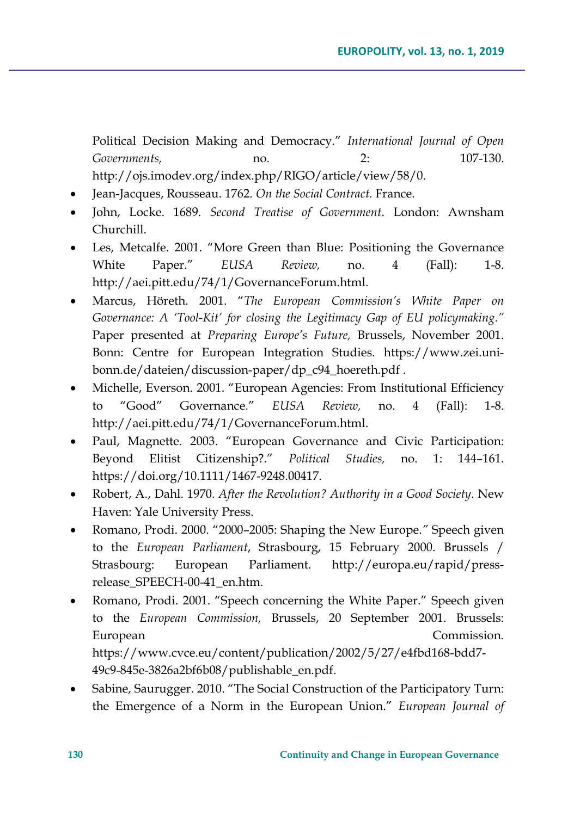Political Decision Making and Democracy." *International Journal of Open Governments,* no. 2: 107-130. http://ojs.imodev.org/index.php/RIGO/article/view/58/0.

- Jean-Jacques, Rousseau. 1762. *On the Social Contract.* France.
- John, Locke. 1689. *Second Treatise of Government*. London: Awnsham Churchill.
- Les, Metcalfe. 2001. "More Green than Blue: Positioning the Governance White Paper." *EUSA Review,* no. 4 (Fall): 1-8. http://aei.pitt.edu/74/1/GovernanceForum.html.
- Marcus, Höreth. 2001. "*The European Commission's White Paper on Governance: A 'Tool-Kit' for closing the Legitimacy Gap of EU policymaking."*  Paper presented at *Preparing Europe's Future,* Brussels, November 2001. Bonn: Centre for European Integration Studies. https://www.zei.unibonn.de/dateien/discussion-paper/dp\_c94\_hoereth.pdf .
- Michelle, Everson. 2001. "European Agencies: From Institutional Efficiency to "Good" Governance*.*" *EUSA Review,* no. 4 (Fall): 1-8. http://aei.pitt.edu/74/1/GovernanceForum.html.
- Paul, Magnette. 2003. "European Governance and Civic Participation: Beyond Elitist Citizenship?." *Political Studies,* no. 1: 144–161. https://doi.org/10.1111/1467-9248.00417.
- Robert, A., Dahl. 1970. *After the Revolution? Authority in a Good Society*. New Haven: Yale University Press.
- Romano, Prodi. 2000. "2000–2005: Shaping the New Europe.*"* Speech given to the *European Parliament*, Strasbourg, 15 February 2000. Brussels / Strasbourg: European Parliament. http://europa.eu/rapid/pressrelease\_SPEECH-00-41\_en.htm.
- Romano, Prodi. 2001. "Speech concerning the White Paper." Speech given to the *European Commission,* Brussels, 20 September 2001. Brussels: European Commission. https://www.cvce.eu/content/publication/2002/5/27/e4fbd168-bdd7- 49c9-845e-3826a2bf6b08/publishable\_en.pdf.
- Sabine, Saurugger. 2010. "The Social Construction of the Participatory Turn: the Emergence of a Norm in the European Union." *European Journal of*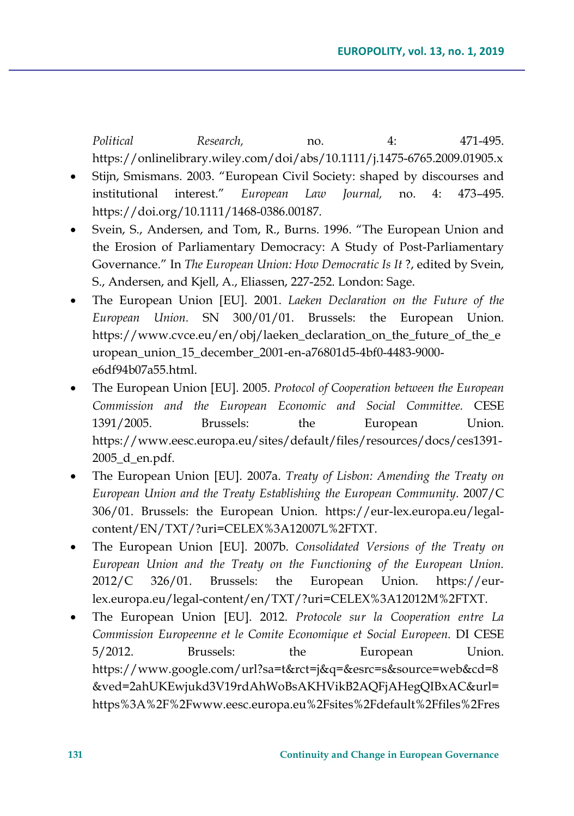*Political Research,* no. 4: 471-495. https://onlinelibrary.wiley.com/doi/abs/10.1111/j.1475-6765.2009.01905.x

- Stijn, Smismans. 2003. "European Civil Society: shaped by discourses and institutional interest." *European Law Journal,* no. 4: 473–495. https://doi.org/10.1111/1468-0386.00187.
- Svein, S., Andersen, and Tom, R., Burns. 1996. "The European Union and the Erosion of Parliamentary Democracy: A Study of Post-Parliamentary Governance." In *The European Union: How Democratic Is It* ?, edited by Svein, S., Andersen, and Kjell, A., Eliassen, 227-252. London: Sage.
- The European Union [EU]. 2001. *Laeken Declaration on the Future of the European Union.* SN 300/01/01. Brussels: the European Union. https://www.cvce.eu/en/obj/laeken\_declaration\_on\_the\_future\_of\_the\_e uropean\_union\_15\_december\_2001-en-a76801d5-4bf0-4483-9000 e6df94b07a55.html.
- The European Union [EU]. 2005. *Protocol of Cooperation between the European Commission and the European Economic and Social Committee.* CESE 1391/2005. Brussels: the European Union. https://www.eesc.europa.eu/sites/default/files/resources/docs/ces1391- 2005\_d\_en.pdf.
- The European Union [EU]. 2007a. *Treaty of Lisbon: Amending the Treaty on European Union and the Treaty Establishing the European Community.* 2007/C 306/01. Brussels: the European Union. https://eur-lex.europa.eu/legalcontent/EN/TXT/?uri=CELEX%3A12007L%2FTXT.
- The European Union [EU]. 2007b. *Consolidated Versions of the Treaty on European Union and the Treaty on the Functioning of the European Union.*  2012/C 326/01. Brussels: the European Union. https://eurlex.europa.eu/legal-content/en/TXT/?uri=CELEX%3A12012M%2FTXT.
- The European Union [EU]. 2012. *Protocole sur la Cooperation entre La Commission Europeenne et le Comite Economique et Social Europeen.* DI CESE 5/2012. Brussels: the European Union. https://www.google.com/url?sa=t&rct=j&q=&esrc=s&source=web&cd=8 &ved=2ahUKEwjukd3V19rdAhWoBsAKHVikB2AQFjAHegQIBxAC&url= https%3A%2F%2Fwww.eesc.europa.eu%2Fsites%2Fdefault%2Ffiles%2Fres